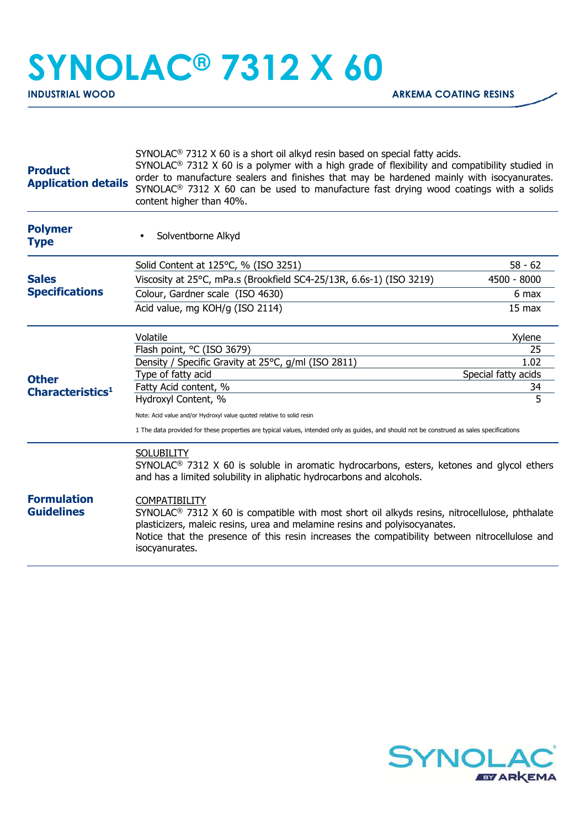## **SYNOLAC® 7312 X 60**

| <b>Product</b><br><b>Application details</b> | SYNOLAC <sup>®</sup> 7312 X 60 is a short oil alkyd resin based on special fatty acids.<br>SYNOLAC <sup>®</sup> 7312 X 60 is a polymer with a high grade of flexibility and compatibility studied in<br>order to manufacture sealers and finishes that may be hardened mainly with isocyanurates.<br>SYNOLAC <sup>®</sup> 7312 X 60 can be used to manufacture fast drying wood coatings with a solids<br>content higher than 40%. |                           |  |
|----------------------------------------------|------------------------------------------------------------------------------------------------------------------------------------------------------------------------------------------------------------------------------------------------------------------------------------------------------------------------------------------------------------------------------------------------------------------------------------|---------------------------|--|
| <b>Polymer</b><br><b>Type</b>                | Solventborne Alkyd                                                                                                                                                                                                                                                                                                                                                                                                                 |                           |  |
|                                              | Solid Content at 125°C, % (ISO 3251)                                                                                                                                                                                                                                                                                                                                                                                               | $58 - 62$                 |  |
| <b>Sales</b><br><b>Specifications</b>        | Viscosity at 25°C, mPa.s (Brookfield SC4-25/13R, 6.6s-1) (ISO 3219)                                                                                                                                                                                                                                                                                                                                                                | 4500 - 8000               |  |
|                                              | Colour, Gardner scale (ISO 4630)                                                                                                                                                                                                                                                                                                                                                                                                   | 6 max                     |  |
| <b>Other</b><br>Characteristics <sup>1</sup> | Acid value, mg KOH/g (ISO 2114)                                                                                                                                                                                                                                                                                                                                                                                                    | 15 max                    |  |
|                                              | Volatile                                                                                                                                                                                                                                                                                                                                                                                                                           | Xylene                    |  |
|                                              | Flash point, °C (ISO 3679)                                                                                                                                                                                                                                                                                                                                                                                                         | 25                        |  |
|                                              | Density / Specific Gravity at 25°C, g/ml (ISO 2811)                                                                                                                                                                                                                                                                                                                                                                                | 1.02                      |  |
|                                              | Type of fatty acid<br>Fatty Acid content, %                                                                                                                                                                                                                                                                                                                                                                                        | Special fatty acids<br>34 |  |
|                                              | Hydroxyl Content, %                                                                                                                                                                                                                                                                                                                                                                                                                | 5                         |  |
|                                              | Note: Acid value and/or Hydroxyl value quoted relative to solid resin                                                                                                                                                                                                                                                                                                                                                              |                           |  |
|                                              | 1 The data provided for these properties are typical values, intended only as guides, and should not be construed as sales specifications                                                                                                                                                                                                                                                                                          |                           |  |
|                                              | <b>SOLUBILITY</b><br>SYNOLAC <sup>®</sup> 7312 X 60 is soluble in aromatic hydrocarbons, esters, ketones and glycol ethers<br>and has a limited solubility in aliphatic hydrocarbons and alcohols.                                                                                                                                                                                                                                 |                           |  |
| <b>Formulation</b><br><b>Guidelines</b>      | <b>COMPATIBILITY</b><br>$SYNOLAC®$ 7312 X 60 is compatible with most short oil alkyds resins, nitrocellulose, phthalate<br>plasticizers, maleic resins, urea and melamine resins and polyisocyanates.<br>Notice that the presence of this resin increases the compatibility between nitrocellulose and<br>isocyanurates.                                                                                                           |                           |  |